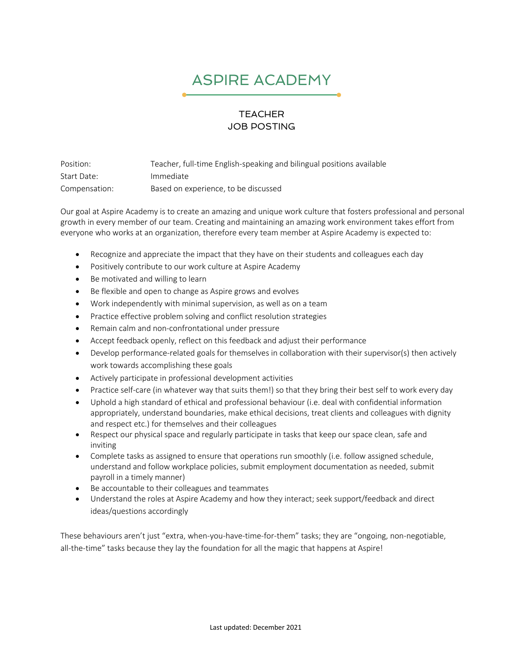## ASPIRE ACADEMY

## **TEACHER** JOB POSTING

Position: Teacher, full-time English-speaking and bilingual positions available Start Date: Immediate Compensation: Based on experience, to be discussed

Our goal at Aspire Academy is to create an amazing and unique work culture that fosters professional and personal growth in every member of our team. Creating and maintaining an amazing work environment takes effort from everyone who works at an organization, therefore every team member at Aspire Academy is expected to:

- Recognize and appreciate the impact that they have on their students and colleagues each day
- Positively contribute to our work culture at Aspire Academy
- Be motivated and willing to learn
- Be flexible and open to change as Aspire grows and evolves
- Work independently with minimal supervision, as well as on a team
- Practice effective problem solving and conflict resolution strategies
- Remain calm and non-confrontational under pressure
- Accept feedback openly, reflect on this feedback and adjust their performance
- Develop performance-related goals for themselves in collaboration with their supervisor(s) then actively work towards accomplishing these goals
- Actively participate in professional development activities
- Practice self-care (in whatever way that suits them!) so that they bring their best self to work every day
- Uphold a high standard of ethical and professional behaviour (i.e. deal with confidential information appropriately, understand boundaries, make ethical decisions, treat clients and colleagues with dignity and respect etc.) for themselves and their colleagues
- Respect our physical space and regularly participate in tasks that keep our space clean, safe and inviting
- Complete tasks as assigned to ensure that operations run smoothly (i.e. follow assigned schedule, understand and follow workplace policies, submit employment documentation as needed, submit payroll in a timely manner)
- Be accountable to their colleagues and teammates
- Understand the roles at Aspire Academy and how they interact; seek support/feedback and direct ideas/questions accordingly

These behaviours aren't just "extra, when-you-have-time-for-them" tasks; they are "ongoing, non-negotiable, all-the-time" tasks because they lay the foundation for all the magic that happens at Aspire!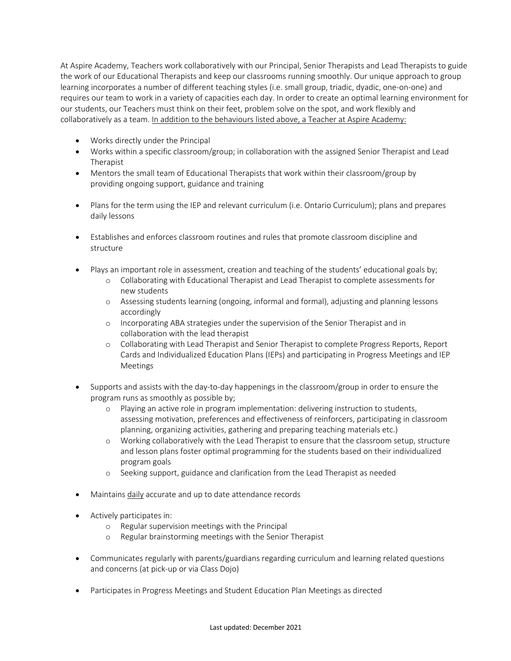At Aspire Academy, Teachers work collaboratively with our Principal, Senior Therapists and Lead Therapists to guide the work of our Educational Therapists and keep our classrooms running smoothly. Our unique approach to group learning incorporates a number of different teaching styles (i.e. small group, triadic, dyadic, one-on-one) and requires our team to work in a variety of capacities each day. In order to create an optimal learning environment for our students, our Teachers must think on their feet, problem solve on the spot, and work flexibly and collaboratively as a team. In addition to the behaviours listed above, a Teacher at Aspire Academy:

- Works directly under the Principal
- Works within a specific classroom/group; in collaboration with the assigned Senior Therapist and Lead Therapist
- Mentors the small team of Educational Therapists that work within their classroom/group by providing ongoing support, guidance and training
- Plans for the term using the IEP and relevant curriculum (i.e. Ontario Curriculum); plans and prepares daily lessons
- Establishes and enforces classroom routines and rules that promote classroom discipline and structure
- Plays an important role in assessment, creation and teaching of the students' educational goals by;
	- o Collaborating with Educational Therapist and Lead Therapist to complete assessments for new students
	- o Assessing students learning (ongoing, informal and formal), adjusting and planning lessons accordingly
	- o Incorporating ABA strategies under the supervision of the Senior Therapist and in collaboration with the lead therapist
	- o Collaborating with Lead Therapist and Senior Therapist to complete Progress Reports, Report Cards and Individualized Education Plans (IEPs) and participating in Progress Meetings and IEP Meetings
- Supports and assists with the day-to-day happenings in the classroom/group in order to ensure the program runs as smoothly as possible by;
	- o Playing an active role in program implementation: delivering instruction to students, assessing motivation, preferences and effectiveness of reinforcers, participating in classroom planning, organizing activities, gathering and preparing teaching materials etc.)
	- o Working collaboratively with the Lead Therapist to ensure that the classroom setup, structure and lesson plans foster optimal programming for the students based on their individualized program goals
	- o Seeking support, guidance and clarification from the Lead Therapist as needed
- Maintains daily accurate and up to date attendance records
- Actively participates in:
	- o Regular supervision meetings with the Principal
	- o Regular brainstorming meetings with the Senior Therapist
- Communicates regularly with parents/guardians regarding curriculum and learning related questions and concerns (at pick-up or via Class Dojo)
- Participates in Progress Meetings and Student Education Plan Meetings as directed